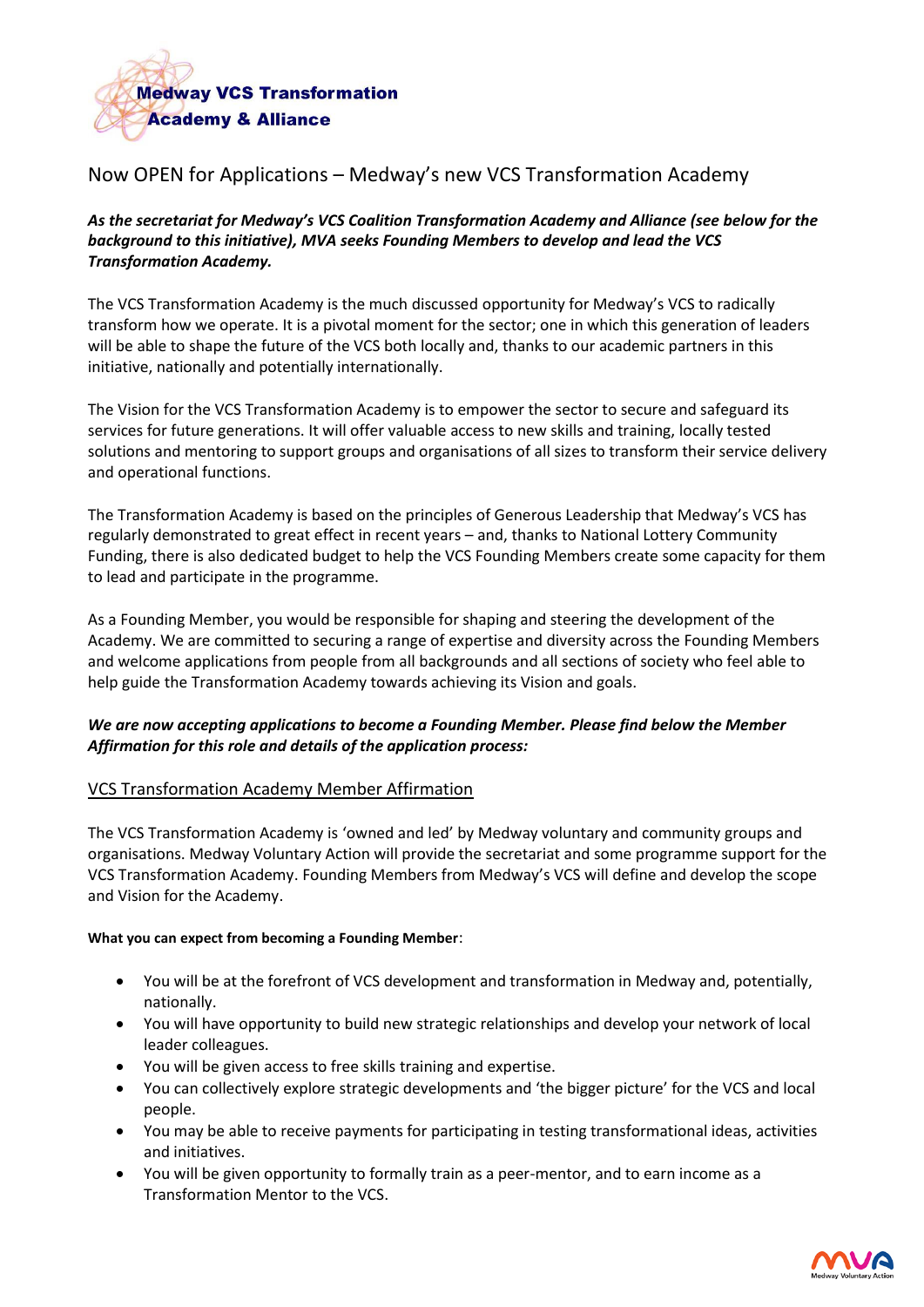

# Now OPEN for Applications – Medway's new VCS Transformation Academy

*As the secretariat for Medway's VCS Coalition Transformation Academy and Alliance (see below for the background to this initiative), MVA seeks Founding Members to develop and lead the VCS Transformation Academy.*

The VCS Transformation Academy is the much discussed opportunity for Medway's VCS to radically transform how we operate. It is a pivotal moment for the sector; one in which this generation of leaders will be able to shape the future of the VCS both locally and, thanks to our academic partners in this initiative, nationally and potentially internationally.

The Vision for the VCS Transformation Academy is to empower the sector to secure and safeguard its services for future generations. It will offer valuable access to new skills and training, locally tested solutions and mentoring to support groups and organisations of all sizes to transform their service delivery and operational functions.

The Transformation Academy is based on the principles of Generous Leadership that Medway's VCS has regularly demonstrated to great effect in recent years – and, thanks to National Lottery Community Funding, there is also dedicated budget to help the VCS Founding Members create some capacity for them to lead and participate in the programme.

As a Founding Member, you would be responsible for shaping and steering the development of the Academy. We are committed to securing a range of expertise and diversity across the Founding Members and welcome applications from people from all backgrounds and all sections of society who feel able to help guide the Transformation Academy towards achieving its Vision and goals.

# *We are now accepting applications to become a Founding Member. Please find below the Member Affirmation for this role and details of the application process:*

#### VCS Transformation Academy Member Affirmation

The VCS Transformation Academy is 'owned and led' by Medway voluntary and community groups and organisations. Medway Voluntary Action will provide the secretariat and some programme support for the VCS Transformation Academy. Founding Members from Medway's VCS will define and develop the scope and Vision for the Academy.

#### **What you can expect from becoming a Founding Member**:

- You will be at the forefront of VCS development and transformation in Medway and, potentially, nationally.
- You will have opportunity to build new strategic relationships and develop your network of local leader colleagues.
- You will be given access to free skills training and expertise.
- You can collectively explore strategic developments and 'the bigger picture' for the VCS and local people.
- You may be able to receive payments for participating in testing transformational ideas, activities and initiatives.
- You will be given opportunity to formally train as a peer-mentor, and to earn income as a Transformation Mentor to the VCS.

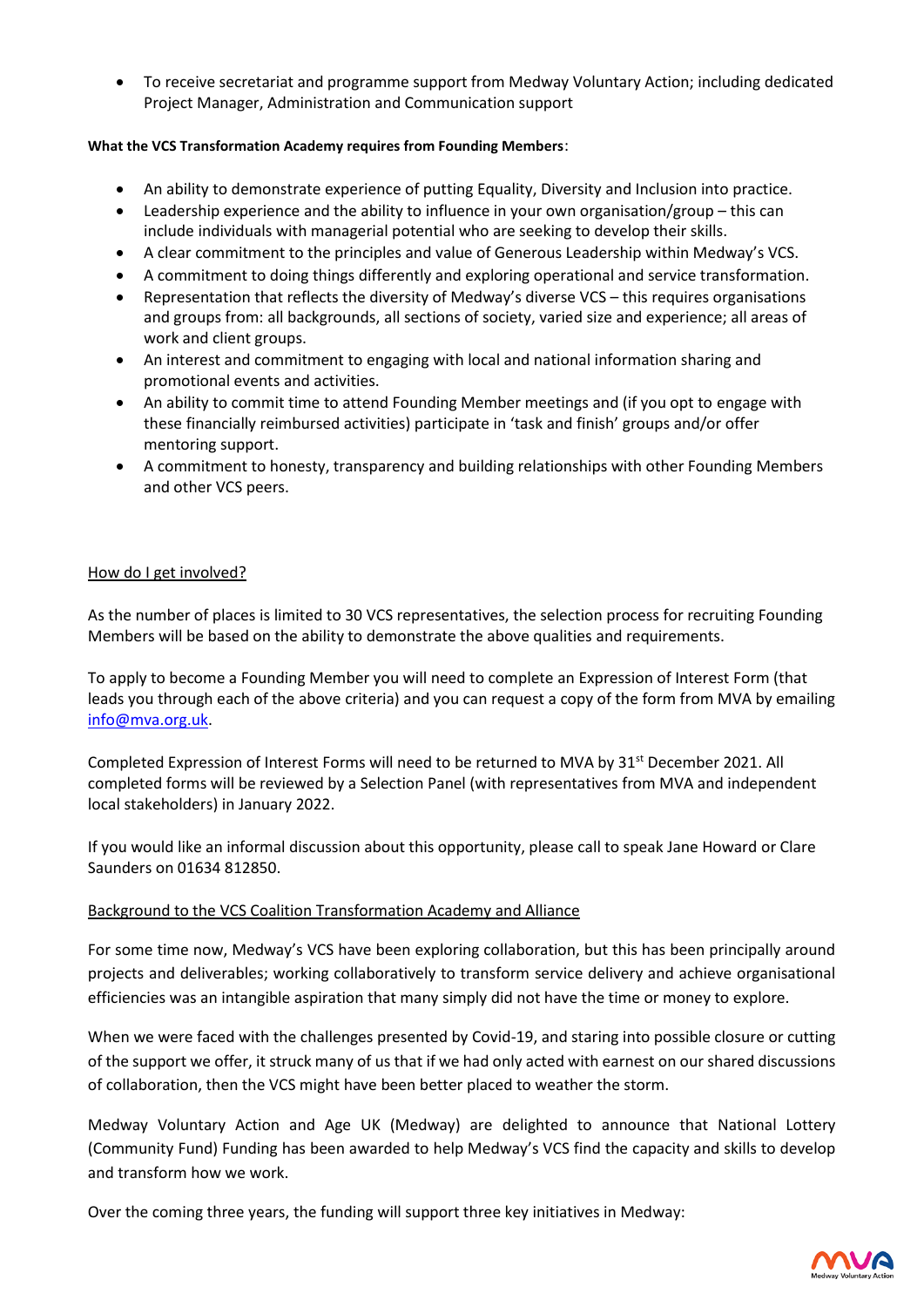• To receive secretariat and programme support from Medway Voluntary Action; including dedicated Project Manager, Administration and Communication support

## **What the VCS Transformation Academy requires from Founding Members**:

- An ability to demonstrate experience of putting Equality, Diversity and Inclusion into practice.
- Leadership experience and the ability to influence in your own organisation/group this can include individuals with managerial potential who are seeking to develop their skills.
- A clear commitment to the principles and value of Generous Leadership within Medway's VCS.
- A commitment to doing things differently and exploring operational and service transformation.
- Representation that reflects the diversity of Medway's diverse VCS this requires organisations and groups from: all backgrounds, all sections of society, varied size and experience; all areas of work and client groups.
- An interest and commitment to engaging with local and national information sharing and promotional events and activities.
- An ability to commit time to attend Founding Member meetings and (if you opt to engage with these financially reimbursed activities) participate in 'task and finish' groups and/or offer mentoring support.
- A commitment to honesty, transparency and building relationships with other Founding Members and other VCS peers.

## How do I get involved?

As the number of places is limited to 30 VCS representatives, the selection process for recruiting Founding Members will be based on the ability to demonstrate the above qualities and requirements.

To apply to become a Founding Member you will need to complete an Expression of Interest Form (that leads you through each of the above criteria) and you can request a copy of the form from MVA by emailing [info@mva.org.uk.](mailto:info@mva.org.uk)

Completed Expression of Interest Forms will need to be returned to MVA by 31<sup>st</sup> December 2021. All completed forms will be reviewed by a Selection Panel (with representatives from MVA and independent local stakeholders) in January 2022.

If you would like an informal discussion about this opportunity, please call to speak Jane Howard or Clare Saunders on 01634 812850.

# Background to the VCS Coalition Transformation Academy and Alliance

For some time now, Medway's VCS have been exploring collaboration, but this has been principally around projects and deliverables; working collaboratively to transform service delivery and achieve organisational efficiencies was an intangible aspiration that many simply did not have the time or money to explore.

When we were faced with the challenges presented by Covid-19, and staring into possible closure or cutting of the support we offer, it struck many of us that if we had only acted with earnest on our shared discussions of collaboration, then the VCS might have been better placed to weather the storm.

Medway Voluntary Action and Age UK (Medway) are delighted to announce that National Lottery (Community Fund) Funding has been awarded to help Medway's VCS find the capacity and skills to develop and transform how we work.

Over the coming three years, the funding will support three key initiatives in Medway: